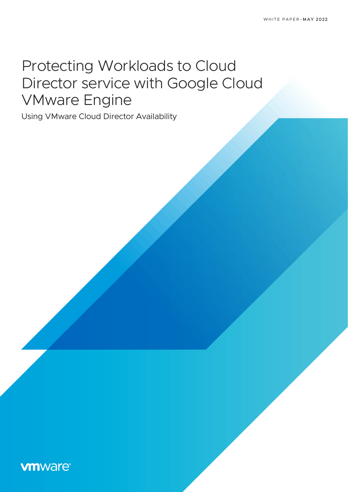# Protecting Workloads to Cloud Director service with Google Cloud VMware Engine

Using VMware Cloud Director Availability

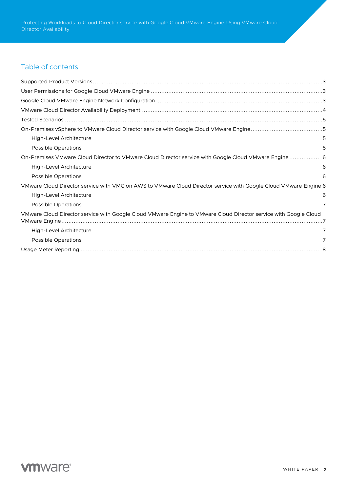# Table of contents

| High-Level Architecture                                                                                          | 5 |
|------------------------------------------------------------------------------------------------------------------|---|
| <b>Possible Operations</b>                                                                                       | 5 |
| On-Premises VMware Cloud Director to VMware Cloud Director service with Google Cloud VMware Engine 6             |   |
| High-Level Architecture                                                                                          | 6 |
| <b>Possible Operations</b>                                                                                       | 6 |
| VMware Cloud Director service with VMC on AWS to VMware Cloud Director service with Google Cloud VMware Engine 6 |   |
| High-Level Architecture                                                                                          | 6 |
| <b>Possible Operations</b>                                                                                       |   |
| VMware Cloud Director service with Google Cloud VMware Engine to VMware Cloud Director service with Google Cloud |   |
| High-Level Architecture                                                                                          | 7 |
| <b>Possible Operations</b>                                                                                       |   |
|                                                                                                                  |   |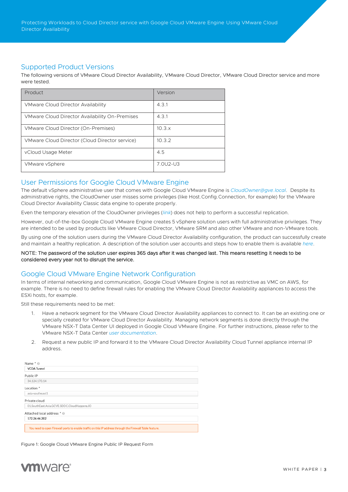Protecting Workloads to Cloud Director service with Google Cloud VMware Engine Using VMware Cloud Director Availability

## Supported Product Versions

The following versions of VMware Cloud Director Availability, VMware Cloud Director, VMware Cloud Director service and more were tested.

| Product                                        | Version       |
|------------------------------------------------|---------------|
| <b>VMware Cloud Director Availability</b>      | 4.3.1         |
| VMware Cloud Director Availability On-Premises | 4.3.1         |
| VMware Cloud Director (On-Premises)            | $10.3 \times$ |
| VMware Cloud Director (Cloud Director service) | 10.3.2        |
| vCloud Usage Meter                             | 4.5           |
| VMware vSphere                                 | 7.0U2-U3      |

## User Permissions for Google Cloud VMware Engine

The default vSphere administrative user that comes with Google Cloud VMware Engine is *[CloudOwner@gve.local](mailto:CloudOwner@gve.local)*. Despite its administrative rights, the CloudOwner user misses some privileges (like Host.Config.Connection, for example) for the VMware Cloud Director Availability Classic data engine to operate properly.

Even the temporary elevation of the CloudOwner privileges (*[link](https://cloud.google.com/vmware-engine/docs/private-clouds/howto-elevate-privilege)*) does not help to perform a successful replication.

However, out-of-the-box Google Cloud VMware Engine creates 5 vSphere solution users with full administrative privileges. They are intended to be used by products like VMware Cloud Director, VMware SRM and also other VMware and non-VMware tools.

By using one of the solution users during the VMware Cloud Director Availability configuration, the product can successfully create and maintain a healthy replication. A description of the solution user accounts and steps how to enable them is available *[here](https://cloud.google.com/vmware-engine/docs/vmware-platform/howto-solution-user-accounts)*.

#### NOTE: The password of the solution user expires 365 days after it was changed last. This means resetting it needs to be considered every year not to disrupt the service.

# Google Cloud VMware Engine Network Configuration

In terms of internal networking and communication, Google Cloud VMware Engine is not as restrictive as VMC on AWS, for example. There is no need to define firewall rules for enabling the VMware Cloud Director Availability appliances to access the ESXi hosts, for example.

Still these requirements need to be met:

- 1. Have a network segment for the VMware Cloud Director Availability appliances to connect to. It can be an existing one or specially created for VMware Cloud Director Availability. Managing network segments is done directly through the VMware NSX-T Data Center UI deployed in Google Cloud VMware Engine. For further instructions, please refer to the VMware NSX-T Data Center *[user documentation](https://docs.vmware.com/en/VMware-NSX-T-Data-Center/index.html)*.
- 2. Request a new public IP and forward it to the VMware Cloud Director Availability Cloud Tunnel appliance internal IP address.

| Name * @                                                                                                 |
|----------------------------------------------------------------------------------------------------------|
| <b>VCDA Tunnel</b>                                                                                       |
| Public IP                                                                                                |
| 34.124.170.14                                                                                            |
| Location *                                                                                               |
| asia-southeast1                                                                                          |
| Private cloud                                                                                            |
| 01.SouthEast.Asia.GCVE.SDDC.CloudHappens.IO                                                              |
| Attached local address * @                                                                               |
| 172.26.46.202                                                                                            |
| You need to open Firewall ports to enable traffic on this IP address through the Firewall Table feature. |

Figure 1: Google Cloud VMware Engine Public IP Request Form

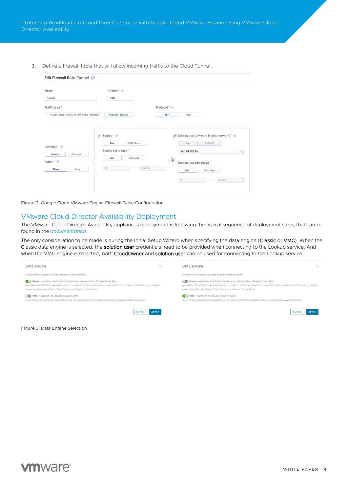3. Define a firewall table that will allow incoming traffic to the Cloud Tunnel.

| Edit Firewall Rule Tunnel 2                                          |                                                                                                                                                    |                                                                                                                                                                           |
|----------------------------------------------------------------------|----------------------------------------------------------------------------------------------------------------------------------------------------|---------------------------------------------------------------------------------------------------------------------------------------------------------------------------|
| Name*<br>Tunnel                                                      | Priority * @<br>100                                                                                                                                |                                                                                                                                                                           |
| Traffic type *<br>Private Cloud, internet or VPN traffic - stateless | Public IP - stateful                                                                                                                               | Protocol * @<br>TCP<br><b>UDP</b>                                                                                                                                         |
| Direction * @<br>Outbound<br>Inbound<br>Action * @<br>Allow<br>Deny  | $\mathfrak{S}^{\mathfrak{S}}$ Source $^{\ast}$ $\circledcirc$<br>CIDR Block<br>Any<br>Source port range *<br>Port range<br>Any<br>65535<br>$\circ$ | 图 Destination (VMware Engine network) * @<br>Public IP<br>Any<br>34.124.170.14<br>٠<br>$\rightarrow$<br>Destination port range *<br>Any<br>Port range<br>65535<br>$\circ$ |

Figure 2: Google Cloud VMware Engine Firewall Table Configuration

#### VMware Cloud Director Availability Deployment

The VMware Cloud Director Availability appliances deployment is following the typical sequence of deployment steps that can be found in the *[documentation](https://docs.vmware.com/en/VMware-Cloud-Director-Availability/4.3/VMware-Cloud-Director-Availability-Install-Config-Upgrade-Cloud/GUID-C624627F-8259-449B-93DB-BC662C6D58C6.html)*.

The only consideration to be made is during the Initial Setup Wizard when specifying the data engine (Classic or VMC). When the Classic data engine is selected, the solution user credentials need to be provided when connecting to the Lookup service. And when the VMC engine is selected, both CloudOwner and solution user can be used for connecting to the Lookup service.



Figure 3: Data Engine Selection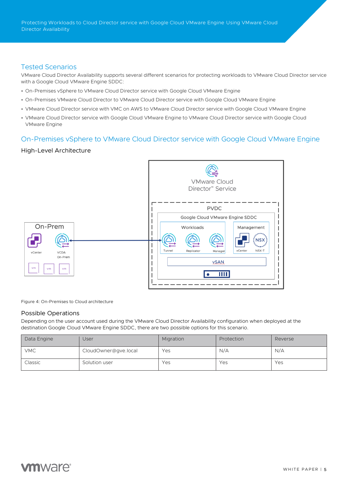Protecting Workloads to Cloud Director service with Google Cloud VMware Engine Using VMware Cloud Director Availability

## Tested Scenarios

VMware Cloud Director Availability supports several different scenarios for protecting workloads to VMware Cloud Director service with a Google Cloud VMware Engine SDDC:

- On-Premises vSphere to VMware Cloud Director service with Google Cloud VMware Engine
- On-Premises VMware Cloud Director to VMware Cloud Director service with Google Cloud VMware Engine
- VMware Cloud Director service with VMC on AWS to VMware Cloud Director service with Google Cloud VMware Engine
- VMware Cloud Director service with Google Cloud VMware Engine to VMware Cloud Director service with Google Cloud VMware Engine

# On-Premises vSphere to VMware Cloud Director service with Google Cloud VMware Engine

### High-Level Architecture



Figure 4: On-Premises to Cloud architecture

## Possible Operations

Depending on the user account used during the VMware Cloud Director Availability configuration when deployed at the destination Google Cloud VMware Engine SDDC, there are two possible options for this scenario.

| Data Engine | User                 | Migration | Protection | Reverse |
|-------------|----------------------|-----------|------------|---------|
| <b>VMC</b>  | CloudOwner@gve.local | Yes       | N/A        | N/A     |
| Classic     | Solution user        | Yes       | Yes        | Yes     |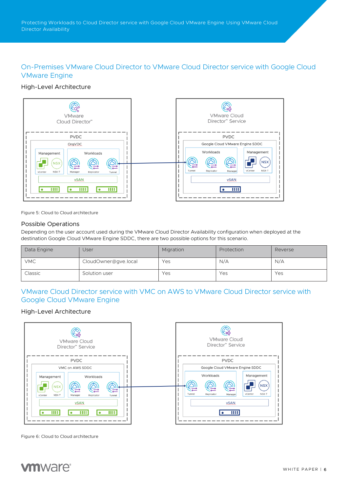# On-Premises VMware Cloud Director to VMware Cloud Director service with Google Cloud VMware Engine

# High-Level Architecture



Figure 5: Cloud to Cloud architecture

### Possible Operations

Depending on the user account used during the VMware Cloud Director Availability configuration when deployed at the destination Google Cloud VMware Engine SDDC, there are two possible options for this scenario.

| Data Engine | Jser                 | Migration | Protection | Reverse |
|-------------|----------------------|-----------|------------|---------|
| <b>VMC</b>  | CloudOwner@gve.local | Yes       | N/A        | N/A     |
| Classic     | Solution user        | Yes       | Yes        | Yes     |

# VMware Cloud Director service with VMC on AWS to VMware Cloud Director service with Google Cloud VMware Engine

## High-Level Architecture



Figure 6: Cloud to Cloud architecture

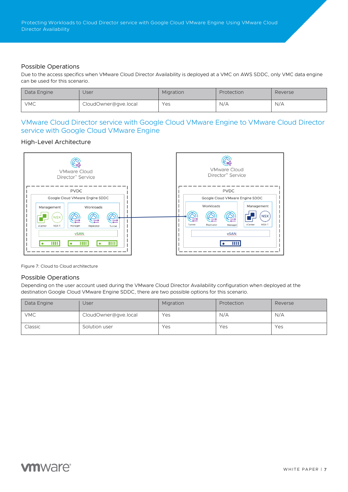## Possible Operations

Due to the access specifics when VMware Cloud Director Availability is deployed at a VMC on AWS SDDC, only VMC data engine can be used for this scenario.

| Data Engine | Jser                 | Migration | Protection | Reverse |
|-------------|----------------------|-----------|------------|---------|
| <b>VMC</b>  | CloudOwner@gve.local | Yes       | N/A        | N/A     |

# VMware Cloud Director service with Google Cloud VMware Engine to VMware Cloud Director service with Google Cloud VMware Engine

## High-Level Architecture



Figure 7: Cloud to Cloud architecture

## Possible Operations

Depending on the user account used during the VMware Cloud Director Availability configuration when deployed at the destination Google Cloud VMware Engine SDDC, there are two possible options for this scenario.

| Data Engine | <b>User</b>          | Migration | Protection | Reverse |
|-------------|----------------------|-----------|------------|---------|
| <b>VMC</b>  | CloudOwner@gve.local | Yes       | N/A        | N/A     |
| Classic     | Solution user        | Yes       | Yes        | Yes     |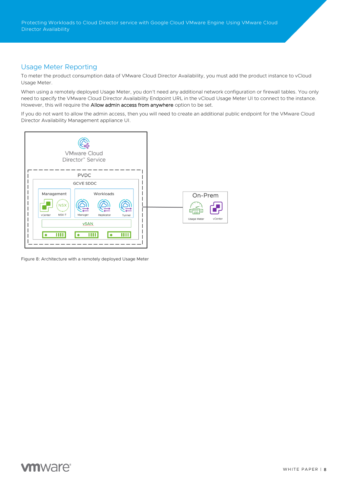Protecting Workloads to Cloud Director service with Google Cloud VMware Engine Using VMware Cloud Director Availability

# Usage Meter Reporting

To meter the product consumption data of VMware Cloud Director Availability, you must add the product instance to vCloud Usage Meter.

When using a remotely deployed Usage Meter, you don't need any additional network configuration or firewall tables. You only need to specify the VMware Cloud Director Availability Endpoint URL in the vCloud Usage Meter UI to connect to the instance. However, this will require the **Allow admin access from anywhere** option to be set.

If you do not want to allow the admin access, then you will need to create an additional public endpoint for the VMware Cloud Director Availability Management appliance UI.



Figure 8: Architecture with a remotely deployed Usage Meter